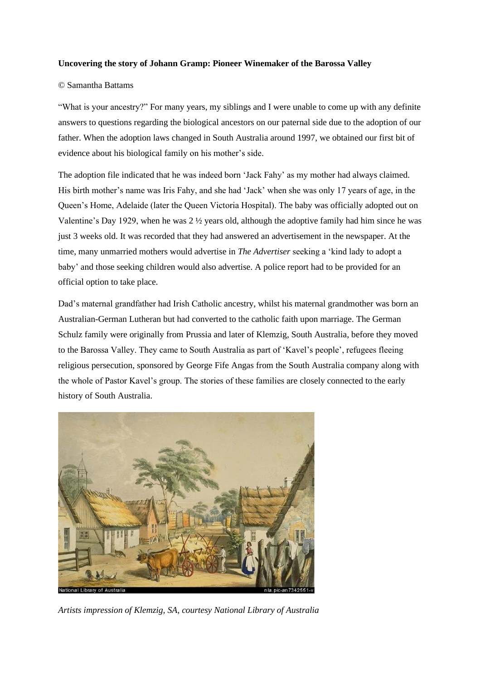## **Uncovering the story of Johann Gramp: Pioneer Winemaker of the Barossa Valley**

# © Samantha Battams

"What is your ancestry?" For many years, my siblings and I were unable to come up with any definite answers to questions regarding the biological ancestors on our paternal side due to the adoption of our father. When the adoption laws changed in South Australia around 1997, we obtained our first bit of evidence about his biological family on his mother's side.

The adoption file indicated that he was indeed born 'Jack Fahy' as my mother had always claimed. His birth mother's name was Iris Fahy, and she had 'Jack' when she was only 17 years of age, in the Queen's Home, Adelaide (later the Queen Victoria Hospital). The baby was officially adopted out on Valentine's Day 1929, when he was 2 ½ years old, although the adoptive family had him since he was just 3 weeks old. It was recorded that they had answered an advertisement in the newspaper. At the time, many unmarried mothers would advertise in *The Advertiser* seeking a 'kind lady to adopt a baby' and those seeking children would also advertise. A police report had to be provided for an official option to take place.

Dad's maternal grandfather had Irish Catholic ancestry, whilst his maternal grandmother was born an Australian-German Lutheran but had converted to the catholic faith upon marriage. The German Schulz family were originally from Prussia and later of Klemzig, South Australia, before they moved to the Barossa Valley. They came to South Australia as part of 'Kavel's people', refugees fleeing religious persecution, sponsored by George Fife Angas from the South Australia company along with the whole of Pastor Kavel's group. The stories of these families are closely connected to the early history of South Australia.



*Artists impression of Klemzig, SA, courtesy National Library of Australia*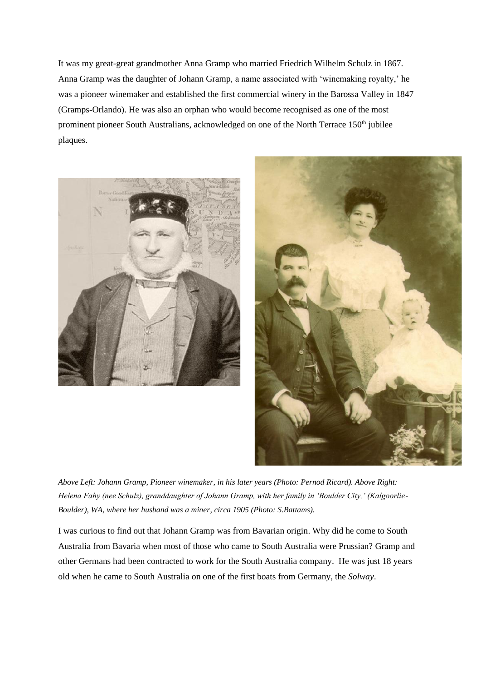It was my great-great grandmother Anna Gramp who married Friedrich Wilhelm Schulz in 1867. Anna Gramp was the daughter of Johann Gramp, a name associated with 'winemaking royalty,' he was a pioneer winemaker and established the first commercial winery in the Barossa Valley in 1847 (Gramps-Orlando). He was also an orphan who would become recognised as one of the most prominent pioneer South Australians, acknowledged on one of the North Terrace 150<sup>th</sup> jubilee plaques.





*Above Left: Johann Gramp, Pioneer winemaker, in his later years (Photo: Pernod Ricard). Above Right: Helena Fahy (nee Schulz), granddaughter of Johann Gramp, with her family in 'Boulder City,' (Kalgoorlie-Boulder), WA, where her husband was a miner, circa 1905 (Photo: S.Battams).* 

I was curious to find out that Johann Gramp was from Bavarian origin. Why did he come to South Australia from Bavaria when most of those who came to South Australia were Prussian? Gramp and other Germans had been contracted to work for the South Australia company. He was just 18 years old when he came to South Australia on one of the first boats from Germany, the *Solway*.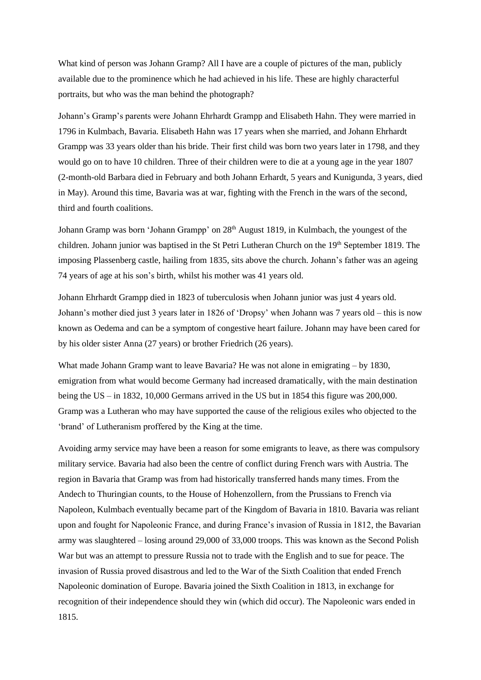What kind of person was Johann Gramp? All I have are a couple of pictures of the man, publicly available due to the prominence which he had achieved in his life. These are highly characterful portraits, but who was the man behind the photograph?

Johann's Gramp's parents were Johann Ehrhardt Grampp and Elisabeth Hahn. They were married in 1796 in Kulmbach, Bavaria. Elisabeth Hahn was 17 years when she married, and Johann Ehrhardt Grampp was 33 years older than his bride. Their first child was born two years later in 1798, and they would go on to have 10 children. Three of their children were to die at a young age in the year 1807 (2-month-old Barbara died in February and both Johann Erhardt, 5 years and Kunigunda, 3 years, died in May). Around this time, Bavaria was at war, fighting with the French in the wars of the second, third and fourth coalitions.

Johann Gramp was born 'Johann Grampp' on 28<sup>th</sup> August 1819, in Kulmbach, the youngest of the children. Johann junior was baptised in the St Petri Lutheran Church on the 19<sup>th</sup> September 1819. The imposing Plassenberg castle, hailing from 1835, sits above the church. Johann's father was an ageing 74 years of age at his son's birth, whilst his mother was 41 years old.

Johann Ehrhardt Grampp died in 1823 of tuberculosis when Johann junior was just 4 years old. Johann's mother died just 3 years later in 1826 of 'Dropsy' when Johann was 7 years old – this is now known as Oedema and can be a symptom of congestive heart failure. Johann may have been cared for by his older sister Anna (27 years) or brother Friedrich (26 years).

What made Johann Gramp want to leave Bavaria? He was not alone in emigrating – by 1830, emigration from what would become Germany had increased dramatically, with the main destination being the US – in 1832, 10,000 Germans arrived in the US but in 1854 this figure was 200,000. Gramp was a Lutheran who may have supported the cause of the religious exiles who objected to the 'brand' of Lutheranism proffered by the King at the time.

Avoiding army service may have been a reason for some emigrants to leave, as there was compulsory military service. Bavaria had also been the centre of conflict during French wars with Austria. The region in Bavaria that Gramp was from had historically transferred hands many times. From the Andech to Thuringian counts, to the House of Hohenzollern, from the Prussians to French via Napoleon, Kulmbach eventually became part of the Kingdom of Bavaria in 1810. Bavaria was reliant upon and fought for Napoleonic France, and during France's invasion of Russia in 1812, the Bavarian army was slaughtered – losing around 29,000 of 33,000 troops. This was known as the Second Polish War but was an attempt to pressure Russia not to trade with the English and to sue for peace. The invasion of Russia proved disastrous and led to the War of the Sixth Coalition that ended French Napoleonic domination of Europe. Bavaria joined the Sixth Coalition in 1813, in exchange for recognition of their independence should they win (which did occur). The Napoleonic wars ended in 1815.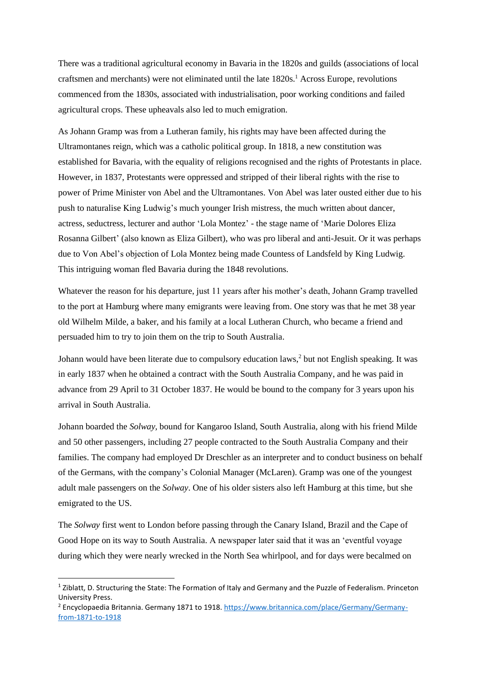There was a traditional agricultural economy in Bavaria in the 1820s and guilds (associations of local craftsmen and merchants) were not eliminated until the late 1820s.<sup>1</sup> Across Europe, revolutions commenced from the 1830s, associated with industrialisation, poor working conditions and failed agricultural crops. These upheavals also led to much emigration.

As Johann Gramp was from a Lutheran family, his rights may have been affected during the Ultramontanes reign, which was a catholic political group. In 1818, a new constitution was established for Bavaria, with the equality of religions recognised and the rights of Protestants in place. However, in 1837, Protestants were oppressed and stripped of their liberal rights with the rise to power of Prime Minister von Abel and the Ultramontanes. Von Abel was later ousted either due to his push to naturalise King Ludwig's much younger Irish mistress, the much written about dancer, actress, seductress, lecturer and author 'Lola Montez' - the stage name of 'Marie Dolores Eliza Rosanna Gilbert' (also known as Eliza Gilbert), who was pro liberal and anti-Jesuit. Or it was perhaps due to Von Abel's objection of Lola Montez being made Countess of Landsfeld by King Ludwig. This intriguing woman fled Bavaria during the 1848 revolutions.

Whatever the reason for his departure, just 11 years after his mother's death, Johann Gramp travelled to the port at Hamburg where many emigrants were leaving from. One story was that he met 38 year old Wilhelm Milde, a baker, and his family at a local Lutheran Church, who became a friend and persuaded him to try to join them on the trip to South Australia.

Johann would have been literate due to compulsory education laws,<sup>2</sup> but not English speaking. It was in early 1837 when he obtained a contract with the South Australia Company, and he was paid in advance from 29 April to 31 October 1837. He would be bound to the company for 3 years upon his arrival in South Australia.

Johann boarded the *Solway,* bound for Kangaroo Island, South Australia, along with his friend Milde and 50 other passengers, including 27 people contracted to the South Australia Company and their families. The company had employed Dr Dreschler as an interpreter and to conduct business on behalf of the Germans, with the company's Colonial Manager (McLaren). Gramp was one of the youngest adult male passengers on the *Solway*. One of his older sisters also left Hamburg at this time, but she emigrated to the US.

The *Solway* first went to London before passing through the Canary Island, Brazil and the Cape of Good Hope on its way to South Australia. A newspaper later said that it was an 'eventful voyage during which they were nearly wrecked in the North Sea whirlpool, and for days were becalmed on

<sup>&</sup>lt;sup>1</sup> Ziblatt, D. Structuring the State: The Formation of Italy and Germany and the Puzzle of Federalism. Princeton University Press.

<sup>2</sup> Encyclopaedia Britannia. Germany 1871 to 1918[. https://www.britannica.com/place/Germany/Germany](https://www.britannica.com/place/Germany/Germany-from-1871-to-1918)[from-1871-to-1918](https://www.britannica.com/place/Germany/Germany-from-1871-to-1918)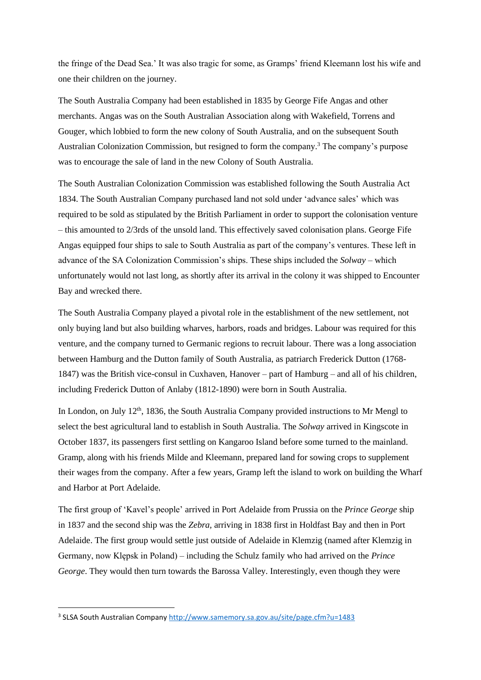the fringe of the Dead Sea.' It was also tragic for some, as Gramps' friend Kleemann lost his wife and one their children on the journey.

The South Australia Company had been established in 1835 by George Fife Angas and other merchants. Angas was on the South Australian Association along with Wakefield, Torrens and Gouger, which lobbied to form the new colony of South Australia, and on the subsequent South Australian Colonization Commission, but resigned to form the company.<sup>3</sup> The company's purpose was to encourage the sale of land in the new Colony of South Australia.

The South Australian Colonization Commission was established following the South Australia Act 1834. The South Australian Company purchased land not sold under 'advance sales' which was required to be sold as stipulated by the British Parliament in order to support the colonisation venture – this amounted to 2/3rds of the unsold land. This effectively saved colonisation plans. George Fife Angas equipped four ships to sale to South Australia as part of the company's ventures. These left in advance of the SA Colonization Commission's ships. These ships included the *Solway* – which unfortunately would not last long, as shortly after its arrival in the colony it was shipped to Encounter Bay and wrecked there.

The South Australia Company played a pivotal role in the establishment of the new settlement, not only buying land but also building wharves, harbors, roads and bridges. Labour was required for this venture, and the company turned to Germanic regions to recruit labour. There was a long association between Hamburg and the Dutton family of South Australia, as patriarch Frederick Dutton (1768- 1847) was the British vice-consul in Cuxhaven, Hanover – part of Hamburg – and all of his children, including Frederick Dutton of Anlaby (1812-1890) were born in South Australia.

In London, on July  $12<sup>th</sup>$ , 1836, the South Australia Company provided instructions to Mr Mengl to select the best agricultural land to establish in South Australia. The *Solway* arrived in Kingscote in October 1837, its passengers first settling on Kangaroo Island before some turned to the mainland. Gramp, along with his friends Milde and Kleemann, prepared land for sowing crops to supplement their wages from the company. After a few years, Gramp left the island to work on building the Wharf and Harbor at Port Adelaide.

The first group of 'Kavel's people' arrived in Port Adelaide from Prussia on the *Prince George* ship in 1837 and the second ship was the *Zebra,* arriving in 1838 first in Holdfast Bay and then in Port Adelaide. The first group would settle just outside of Adelaide in Klemzig (named after Klemzig in Germany, now Klępsk in Poland) – including the Schulz family who had arrived on the *Prince George*. They would then turn towards the Barossa Valley. Interestingly, even though they were

<sup>&</sup>lt;sup>3</sup> SLSA South Australian Company<http://www.samemory.sa.gov.au/site/page.cfm?u=1483>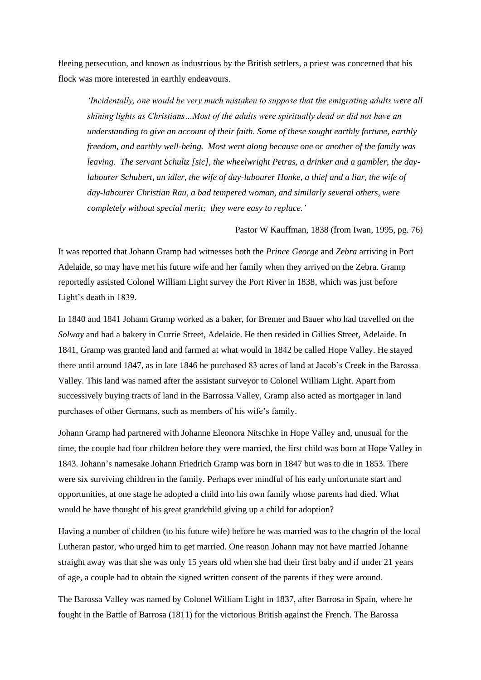fleeing persecution, and known as industrious by the British settlers, a priest was concerned that his flock was more interested in earthly endeavours.

*'Incidentally, one would be very much mistaken to suppose that the emigrating adults were all shining lights as Christians…Most of the adults were spiritually dead or did not have an understanding to give an account of their faith. Some of these sought earthly fortune, earthly freedom, and earthly well-being. Most went along because one or another of the family was leaving. The servant Schultz [sic], the wheelwright Petras, a drinker and a gambler, the daylabourer Schubert, an idler, the wife of day-labourer Honke, a thief and a liar, the wife of day-labourer Christian Rau, a bad tempered woman, and similarly several others, were completely without special merit; they were easy to replace.'* 

#### Pastor W Kauffman, 1838 (from Iwan, 1995, pg. 76)

It was reported that Johann Gramp had witnesses both the *Prince George* and *Zebra* arriving in Port Adelaide, so may have met his future wife and her family when they arrived on the Zebra. Gramp reportedly assisted Colonel William Light survey the Port River in 1838, which was just before Light's death in 1839.

In 1840 and 1841 Johann Gramp worked as a baker, for Bremer and Bauer who had travelled on the *Solway* and had a bakery in Currie Street, Adelaide. He then resided in Gillies Street, Adelaide. In 1841, Gramp was granted land and farmed at what would in 1842 be called Hope Valley. He stayed there until around 1847, as in late 1846 he purchased 83 acres of land at Jacob's Creek in the Barossa Valley. This land was named after the assistant surveyor to Colonel William Light. Apart from successively buying tracts of land in the Barrossa Valley, Gramp also acted as mortgager in land purchases of other Germans, such as members of his wife's family.

Johann Gramp had partnered with Johanne Eleonora Nitschke in Hope Valley and, unusual for the time, the couple had four children before they were married, the first child was born at Hope Valley in 1843. Johann's namesake Johann Friedrich Gramp was born in 1847 but was to die in 1853. There were six surviving children in the family. Perhaps ever mindful of his early unfortunate start and opportunities, at one stage he adopted a child into his own family whose parents had died. What would he have thought of his great grandchild giving up a child for adoption?

Having a number of children (to his future wife) before he was married was to the chagrin of the local Lutheran pastor, who urged him to get married. One reason Johann may not have married Johanne straight away was that she was only 15 years old when she had their first baby and if under 21 years of age, a couple had to obtain the signed written consent of the parents if they were around.

The Barossa Valley was named by Colonel William Light in 1837, after Barrosa in Spain, where he fought in the Battle of Barrosa (1811) for the victorious British against the French. The Barossa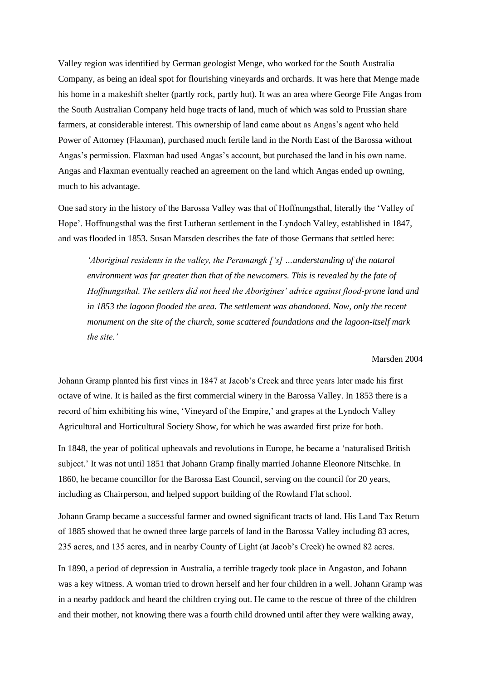Valley region was identified by German geologist Menge, who worked for the South Australia Company, as being an ideal spot for flourishing vineyards and orchards. It was here that Menge made his home in a makeshift shelter (partly rock, partly hut). It was an area where George Fife Angas from the South Australian Company held huge tracts of land, much of which was sold to Prussian share farmers, at considerable interest. This ownership of land came about as Angas's agent who held Power of Attorney (Flaxman), purchased much fertile land in the North East of the Barossa without Angas's permission. Flaxman had used Angas's account, but purchased the land in his own name. Angas and Flaxman eventually reached an agreement on the land which Angas ended up owning, much to his advantage.

One sad story in the history of the Barossa Valley was that of Hoffnungsthal, literally the 'Valley of Hope'. Hoffnungsthal was the first Lutheran settlement in the Lyndoch Valley, established in 1847, and was flooded in 1853. Susan Marsden describes the fate of those Germans that settled here:

*'Aboriginal residents in the valley, the Peramangk ['s] …understanding of the natural environment was far greater than that of the newcomers. This is revealed by the fate of Hoffnungsthal. The settlers did not heed the Aborigines' advice against flood-prone land and in 1853 the lagoon flooded the area. The settlement was abandoned. Now, only the recent monument on the site of the church, some scattered foundations and the lagoon-itself mark the site.'*

## Marsden 2004

Johann Gramp planted his first vines in 1847 at Jacob's Creek and three years later made his first octave of wine. It is hailed as the first commercial winery in the Barossa Valley. In 1853 there is a record of him exhibiting his wine, 'Vineyard of the Empire,' and grapes at the Lyndoch Valley Agricultural and Horticultural Society Show, for which he was awarded first prize for both.

In 1848, the year of political upheavals and revolutions in Europe, he became a 'naturalised British subject.' It was not until 1851 that Johann Gramp finally married Johanne Eleonore Nitschke. In 1860, he became councillor for the Barossa East Council, serving on the council for 20 years, including as Chairperson, and helped support building of the Rowland Flat school.

Johann Gramp became a successful farmer and owned significant tracts of land. His Land Tax Return of 1885 showed that he owned three large parcels of land in the Barossa Valley including 83 acres, 235 acres, and 135 acres, and in nearby County of Light (at Jacob's Creek) he owned 82 acres.

In 1890, a period of depression in Australia, a terrible tragedy took place in Angaston, and Johann was a key witness. A woman tried to drown herself and her four children in a well. Johann Gramp was in a nearby paddock and heard the children crying out. He came to the rescue of three of the children and their mother, not knowing there was a fourth child drowned until after they were walking away,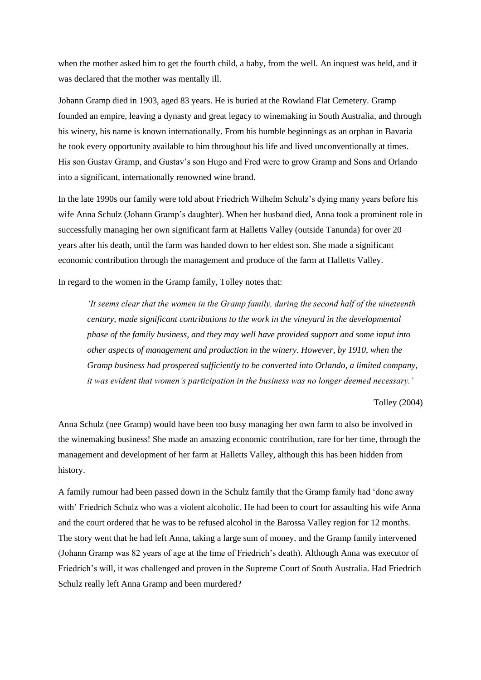when the mother asked him to get the fourth child, a baby, from the well. An inquest was held, and it was declared that the mother was mentally ill.

Johann Gramp died in 1903, aged 83 years. He is buried at the Rowland Flat Cemetery. Gramp founded an empire, leaving a dynasty and great legacy to winemaking in South Australia, and through his winery, his name is known internationally. From his humble beginnings as an orphan in Bavaria he took every opportunity available to him throughout his life and lived unconventionally at times. His son Gustav Gramp, and Gustav's son Hugo and Fred were to grow Gramp and Sons and Orlando into a significant, internationally renowned wine brand.

In the late 1990s our family were told about Friedrich Wilhelm Schulz's dying many years before his wife Anna Schulz (Johann Gramp's daughter). When her husband died, Anna took a prominent role in successfully managing her own significant farm at Halletts Valley (outside Tanunda) for over 20 years after his death, until the farm was handed down to her eldest son. She made a significant economic contribution through the management and produce of the farm at Halletts Valley.

In regard to the women in the Gramp family, Tolley notes that:

*'It seems clear that the women in the Gramp family, during the second half of the nineteenth century, made significant contributions to the work in the vineyard in the developmental phase of the family business, and they may well have provided support and some input into other aspects of management and production in the winery. However, by 1910, when the Gramp business had prospered sufficiently to be converted into Orlando, a limited company, it was evident that women's participation in the business was no longer deemed necessary.'*

### Tolley (2004)

Anna Schulz (nee Gramp) would have been too busy managing her own farm to also be involved in the winemaking business! She made an amazing economic contribution, rare for her time, through the management and development of her farm at Halletts Valley, although this has been hidden from history.

A family rumour had been passed down in the Schulz family that the Gramp family had 'done away with' Friedrich Schulz who was a violent alcoholic. He had been to court for assaulting his wife Anna and the court ordered that he was to be refused alcohol in the Barossa Valley region for 12 months. The story went that he had left Anna, taking a large sum of money, and the Gramp family intervened (Johann Gramp was 82 years of age at the time of Friedrich's death). Although Anna was executor of Friedrich's will, it was challenged and proven in the Supreme Court of South Australia. Had Friedrich Schulz really left Anna Gramp and been murdered?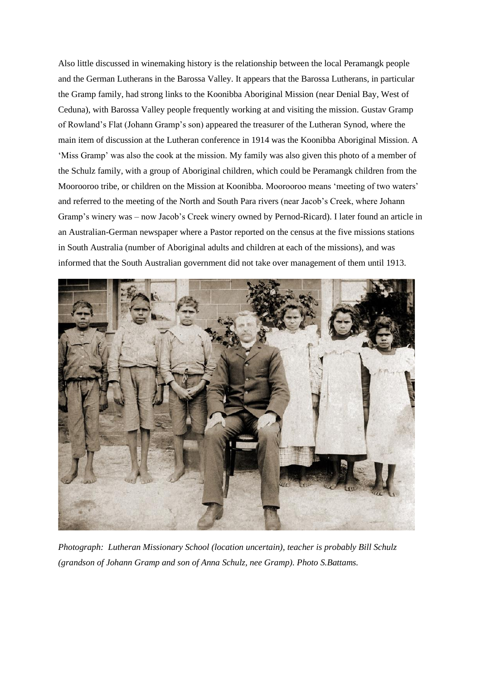Also little discussed in winemaking history is the relationship between the local Peramangk people and the German Lutherans in the Barossa Valley. It appears that the Barossa Lutherans, in particular the Gramp family, had strong links to the Koonibba Aboriginal Mission (near Denial Bay, West of Ceduna), with Barossa Valley people frequently working at and visiting the mission. Gustav Gramp of Rowland's Flat (Johann Gramp's son) appeared the treasurer of the Lutheran Synod, where the main item of discussion at the Lutheran conference in 1914 was the Koonibba Aboriginal Mission. A 'Miss Gramp' was also the cook at the mission. My family was also given this photo of a member of the Schulz family, with a group of Aboriginal children, which could be Peramangk children from the Moorooroo tribe, or children on the Mission at Koonibba. Moorooroo means 'meeting of two waters' and referred to the meeting of the North and South Para rivers (near Jacob's Creek, where Johann Gramp's winery was – now Jacob's Creek winery owned by Pernod-Ricard). I later found an article in an Australian-German newspaper where a Pastor reported on the census at the five missions stations in South Australia (number of Aboriginal adults and children at each of the missions), and was informed that the South Australian government did not take over management of them until 1913.



*Photograph: Lutheran Missionary School (location uncertain), teacher is probably Bill Schulz (grandson of Johann Gramp and son of Anna Schulz, nee Gramp). Photo S.Battams.*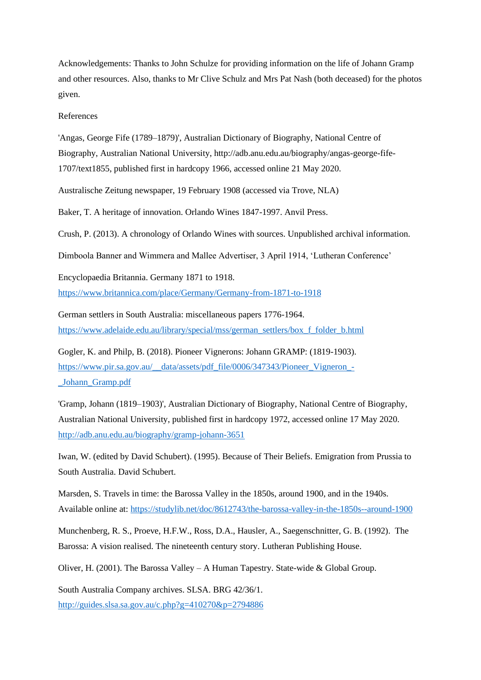Acknowledgements: Thanks to John Schulze for providing information on the life of Johann Gramp and other resources. Also, thanks to Mr Clive Schulz and Mrs Pat Nash (both deceased) for the photos given.

#### References

'Angas, George Fife (1789–1879)', Australian Dictionary of Biography, National Centre of Biography, Australian National University, http://adb.anu.edu.au/biography/angas-george-fife-1707/text1855, published first in hardcopy 1966, accessed online 21 May 2020.

Australische Zeitung newspaper, 19 February 1908 (accessed via Trove, NLA)

Baker, T. A heritage of innovation. Orlando Wines 1847-1997. Anvil Press.

Crush, P. (2013). A chronology of Orlando Wines with sources. Unpublished archival information.

Dimboola Banner and Wimmera and Mallee Advertiser, 3 April 1914, 'Lutheran Conference'

Encyclopaedia Britannia. Germany 1871 to 1918.

<https://www.britannica.com/place/Germany/Germany-from-1871-to-1918>

German settlers in South Australia: miscellaneous papers 1776-1964. [https://www.adelaide.edu.au/library/special/mss/german\\_settlers/box\\_f\\_folder\\_b.html](https://www.adelaide.edu.au/library/special/mss/german_settlers/box_f_folder_b.html)

Gogler, K. and Philp, B. (2018). Pioneer Vignerons: Johann GRAMP: (1819-1903). [https://www.pir.sa.gov.au/\\_\\_data/assets/pdf\\_file/0006/347343/Pioneer\\_Vigneron\\_-](https://www.pir.sa.gov.au/__data/assets/pdf_file/0006/347343/Pioneer_Vigneron_-_Johann_Gramp.pdf) [\\_Johann\\_Gramp.pdf](https://www.pir.sa.gov.au/__data/assets/pdf_file/0006/347343/Pioneer_Vigneron_-_Johann_Gramp.pdf)

'Gramp, Johann (1819–1903)', Australian Dictionary of Biography, National Centre of Biography, Australian National University, published first in hardcopy 1972, accessed online 17 May 2020. <http://adb.anu.edu.au/biography/gramp-johann-3651>

Iwan, W. (edited by David Schubert). (1995). Because of Their Beliefs. Emigration from Prussia to South Australia. David Schubert.

Marsden, S. Travels in time: the Barossa Valley in the 1850s, around 1900, and in the 1940s. Available online at:<https://studylib.net/doc/8612743/the-barossa-valley-in-the-1850s--around-1900>

Munchenberg, R. S., Proeve, H.F.W., Ross, D.A., Hausler, A., Saegenschnitter, G. B. (1992). The Barossa: A vision realised. The nineteenth century story. Lutheran Publishing House.

Oliver, H. (2001). The Barossa Valley – A Human Tapestry. State-wide & Global Group.

South Australia Company archives. SLSA. BRG 42/36/1. <http://guides.slsa.sa.gov.au/c.php?g=410270&p=2794886>